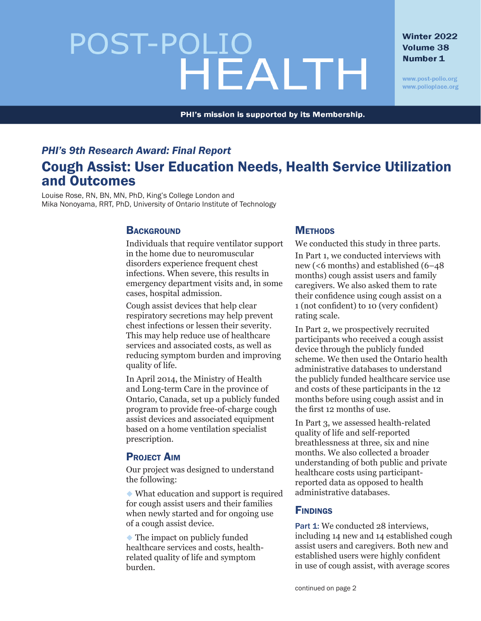# POST-POLIO<br>HEALTH

#### Winter 2022 Volume 38 Number 1

www.post-polio.org www.polioplace.org

PHI's mission is supported by its Membership.

# *PHI's 9th Research Award: Final Report* Cough Assist: User Education Needs, Health Service Utilization and Outcomes

Louise Rose, RN, BN, MN, PhD, King's College London and Mika Nonoyama, RRT, PhD, University of Ontario Institute of Technology

# **BACKGROUND**

Individuals that require ventilator support in the home due to neuromuscular disorders experience frequent chest infections. When severe, this results in emergency department visits and, in some cases, hospital admission.

Cough assist devices that help clear respiratory secretions may help prevent chest infections or lessen their severity. This may help reduce use of healthcare services and associated costs, as well as reducing symptom burden and improving quality of life.

In April 2014, the Ministry of Health and Long-term Care in the province of Ontario, Canada, set up a publicly funded program to provide free-of-charge cough assist devices and associated equipment based on a home ventilation specialist prescription.

# **PROJECT AIM**

Our project was designed to understand the following:

 $\bullet$  What education and support is required for cough assist users and their families when newly started and for ongoing use of a cough assist device.

 $\blacklozenge$  The impact on publicly funded healthcare services and costs, healthrelated quality of life and symptom burden.

# **METHODS**

We conducted this study in three parts. In Part 1, we conducted interviews with new (<6 months) and established (6–48 months) cough assist users and family caregivers. We also asked them to rate their confidence using cough assist on a 1 (not confident) to 10 (very confident) rating scale.

In Part 2, we prospectively recruited participants who received a cough assist device through the publicly funded scheme. We then used the Ontario health administrative databases to understand the publicly funded healthcare service use and costs of these participants in the 12 months before using cough assist and in the first 12 months of use.

In Part 3, we assessed health-related quality of life and self-reported breathlessness at three, six and nine months. We also collected a broader understanding of both public and private healthcare costs using participantreported data as opposed to health administrative databases.

#### **FINDINGS**

Part 1: We conducted 28 interviews, including 14 new and 14 established cough assist users and caregivers. Both new and established users were highly confident in use of cough assist, with average scores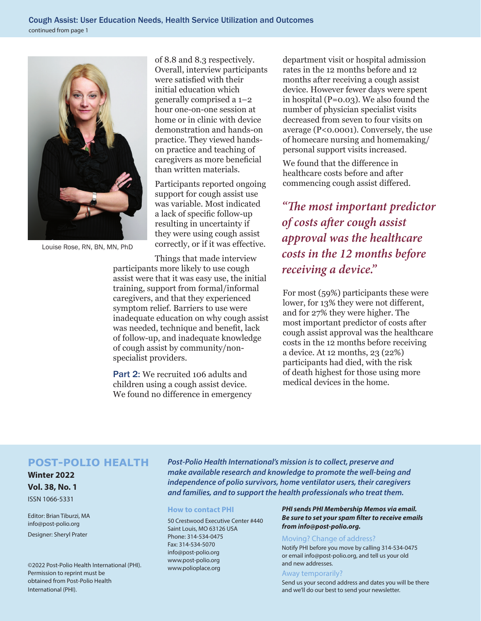

Louise Rose, RN, BN, MN, PhD

of 8.8 and 8.3 respectively. Overall, interview participants were satisfied with their initial education which generally comprised a 1–2 hour one-on-one session at home or in clinic with device demonstration and hands-on practice. They viewed handson practice and teaching of caregivers as more beneficial than written materials.

Participants reported ongoing support for cough assist use was variable. Most indicated a lack of specific follow-up resulting in uncertainty if they were using cough assist correctly, or if it was effective.

Things that made interview participants more likely to use cough assist were that it was easy use, the initial training, support from formal/informal caregivers, and that they experienced symptom relief. Barriers to use were inadequate education on why cough assist was needed, technique and benefit, lack of follow-up, and inadequate knowledge of cough assist by community/nonspecialist providers.

Part 2: We recruited 106 adults and children using a cough assist device. We found no difference in emergency department visit or hospital admission rates in the 12 months before and 12 months after receiving a cough assist device. However fewer days were spent in hospital (P=0.03). We also found the number of physician specialist visits decreased from seven to four visits on average (P<0.0001). Conversely, the use of homecare nursing and homemaking/ personal support visits increased.

We found that the difference in healthcare costs before and after commencing cough assist differed.

*"The most important predictor of costs after cough assist approval was the healthcare costs in the 12 months before receiving a device."*

For most (59%) participants these were lower, for 13% they were not different, and for 27% they were higher. The most important predictor of costs after cough assist approval was the healthcare costs in the 12 months before receiving a device. At 12 months, 23 (22%) participants had died, with the risk of death highest for those using more medical devices in the home.

#### **POST-POLIO HEALTH**

**Winter 2022 Vol. 38, No. 1**

ISSN 1066-5331

Editor: Brian Tiburzi, MA info@post-polio.org

Designer: Sheryl Prater

©2022 Post-Polio Health International (PHI). Permission to reprint must be obtained from Post-Polio Health International (PHI).

*Post-Polio Health International's mission is to collect, preserve and make available research and knowledge to promote the well-being and independence of polio survivors, home ventilator users, their caregivers and families, and to support the health professionals who treat them.*

#### **How to contact PHI**

50 Crestwood Executive Center #440 Saint Louis, MO 63126 USA Phone: 314-534-0475 Fax: 314-534-5070 info@post-polio.org www.post-polio.org www.polioplace.org

#### *PHI sends PHI Membership Memos via email. Be sure to set your spam filter to receive emails from info@post-polio.org.*

#### Moving? Change of address?

Notify PHI before you move by calling 314-534-0475 or email info@post-polio.org, and tell us your old and new addresses.

#### Away temporarily?

Send us your second address and dates you will be there and we'll do our best to send your newsletter.